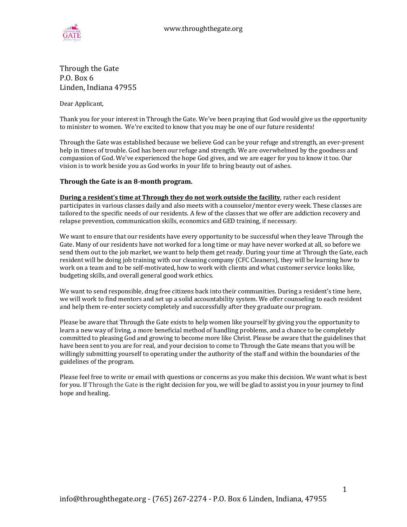

Through the Gate P.O. Box 6 Linden, Indiana 47955

Dear Applicant,

Thank you for your interest in Through the Gate. We've been praying that God would give us the opportunity to minister to women. We're excited to know that you may be one of our future residents!

Through the Gate was established because we believe God can be your refuge and strength, an ever-present help in times of trouble. God has been our refuge and strength. We are overwhelmed by the goodness and compassion of God. We've experienced the hope God gives, and we are eager for you to know it too. Our vision is to work beside you as God works in your life to bring beauty out of ashes.

#### **Through the Gate is an 8-month program.**

**During a resident's time at Through they do not work outside the facility**, rather each resident participates in various classes daily and also meets with a counselor/mentor every week. These classes are tailored to the specific needs of our residents. A few of the classes that we offer are addiction recovery and relapse prevention, communication skills, economics and GED training, if necessary.

We want to ensure that our residents have every opportunity to be successful when they leave Through the Gate. Many of our residents have not worked for a long time or may have never worked at all, so before we send them out to the job market, we want to help them get ready. During your time at Through the Gate, each resident will be doing job training with our cleaning company (CFC Cleaners), they will be learning how to work on a team and to be self-motivated, how to work with clients and what customer service looks like, budgeting skills, and overall general good work ethics.

We want to send responsible, drug free citizens back into their communities. During a resident's time here, we will work to find mentors and set up a solid accountability system. We offer counseling to each resident and help them re-enter society completely and successfully after they graduate our program.

Please be aware that Through the Gate exists to help women like yourself by giving you the opportunity to learn a new way of living, a more beneficial method of handling problems, and a chance to be completely committed to pleasing God and growing to become more like Christ. Please be aware that the guidelines that have been sent to you are for real, and your decision to come to Through the Gate means that you will be willingly submitting yourself to operating under the authority of the staff and within the boundaries of the guidelines of the program.

Please feel free to write or email with questions or concerns as you make this decision. We want what is best for you. If Through the Gate is the right decision for you, we will be glad to assist you in your journey to find hope and healing.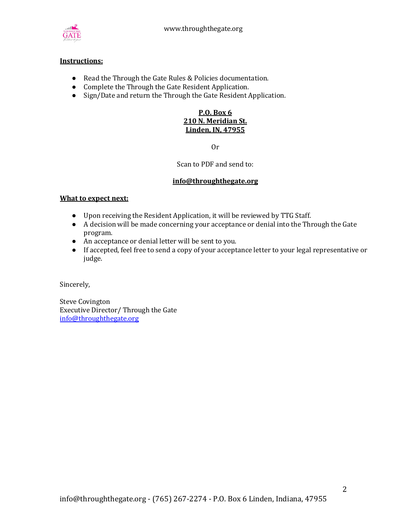

## **Instructions:**

- Read the Through the Gate Rules & Policies documentation.
- Complete the Through the Gate Resident Application.
- Sign/Date and return the Through the Gate Resident Application.

## **P.O. Box 6 210 N. Meridian St. Linden, IN, 47955**

Or

Scan to PDF and send to:

#### **info@throughthegate.org**

#### **What to expect next:**

- Upon receiving the Resident Application, it will be reviewed by TTG Staff.
- A decision will be made concerning your acceptance or denial into the Through the Gate program.
- An acceptance or denial letter will be sent to you.
- If accepted, feel free to send a copy of your acceptance letter to your legal representative or judge.

Sincerely,

Steve Covington Executive Director/ Through the Gate [info@throughthegate.org](mailto:info@throughthegate.org)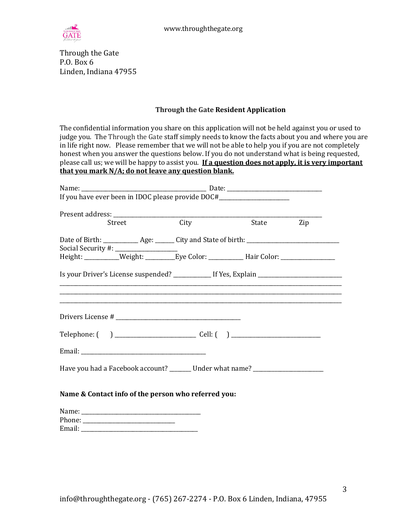

Through the Gate P.O. Box 6 Linden, Indiana 47955

## **Through the Gate Resident Application**

The confidential information you share on this application will not be held against you or used to judge you. The Through the Gate staff simply needs to know the facts about you and where you are in life right now. Please remember that we will not be able to help you if you are not completely honest when you answer the questions below. If you do not understand what is being requested, please call us; we will be happy to assist you. **If a question does not apply, it is very important that you mark N/A; do not leave any question blank.**

| If you have ever been in IDOC please provide DOC#_______________________________                                            |                                                                                                                  |     |
|-----------------------------------------------------------------------------------------------------------------------------|------------------------------------------------------------------------------------------------------------------|-----|
| Street                                                                                                                      | State                                                                                                            | Zip |
| Social Security #: ___________________<br>Height: _________Weight: ________Eye Color: ______________Hair Color: ___________ |                                                                                                                  |     |
| ,我们也不会有什么。""我们的人,我们也不会有什么?""我们的人,我们也不会有什么?""我们的人,我们也不会有什么?""我们的人,我们也不会有什么?""我们的人                                            | and the control of the control of the control of the control of the control of the control of the control of the |     |
|                                                                                                                             |                                                                                                                  |     |
|                                                                                                                             |                                                                                                                  |     |
| Have you had a Facebook account? _______ Under what name? ______________________                                            |                                                                                                                  |     |
| Name & Contact info of the person who referred you:                                                                         |                                                                                                                  |     |
|                                                                                                                             |                                                                                                                  |     |
|                                                                                                                             |                                                                                                                  |     |
|                                                                                                                             |                                                                                                                  |     |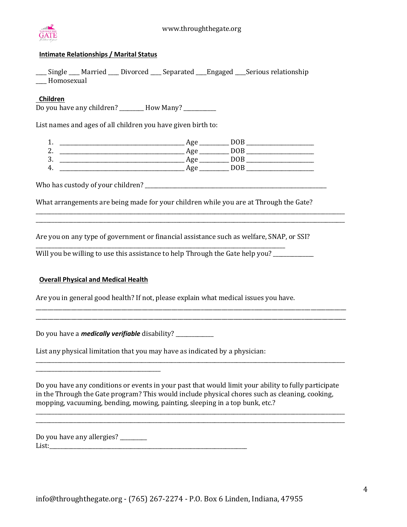

## **Intimate Relationships / Marital Status**

\_\_\_\_ Single \_\_\_\_ Married \_\_\_\_ Divorced \_\_\_\_ Separated \_\_\_\_Engaged \_\_\_\_Serious relationship \_\_\_\_ Homosexual

## **Children**

Do you have any children? \_\_\_\_\_\_\_\_ How Many? \_\_\_\_\_\_\_\_\_

List names and ages of all children you have given birth to:

1. \_\_\_\_\_\_\_\_\_\_\_\_\_\_\_\_\_\_\_\_\_\_\_\_\_\_\_\_\_\_\_\_\_\_\_\_\_\_\_\_\_\_\_\_\_\_ Age \_\_\_\_\_\_\_\_\_\_\_ DOB \_\_\_\_\_\_\_\_\_\_\_\_\_\_\_\_\_\_\_\_\_\_\_\_\_ 2. \_\_\_\_\_\_\_\_\_\_\_\_\_\_\_\_\_\_\_\_\_\_\_\_\_\_\_\_\_\_\_\_\_\_\_\_\_\_\_\_\_\_\_\_\_\_ Age \_\_\_\_\_\_\_\_\_\_\_ DOB \_\_\_\_\_\_\_\_\_\_\_\_\_\_\_\_\_\_\_\_\_\_\_\_\_ 3. \_\_\_\_\_\_\_\_\_\_\_\_\_\_\_\_\_\_\_\_\_\_\_\_\_\_\_\_\_\_\_\_\_\_\_\_\_\_\_\_\_\_\_\_\_\_ Age \_\_\_\_\_\_\_\_\_\_\_ DOB \_\_\_\_\_\_\_\_\_\_\_\_\_\_\_\_\_\_\_\_\_\_\_\_\_ 4. \_\_\_\_\_\_\_\_\_\_\_\_\_\_\_\_\_\_\_\_\_\_\_\_\_\_\_\_\_\_\_\_\_\_\_\_\_\_\_\_\_\_\_\_\_\_ Age \_\_\_\_\_\_\_\_\_\_\_ DOB \_\_\_\_\_\_\_\_\_\_\_\_\_\_\_\_\_\_\_\_\_\_\_\_\_

Who has custody of your children? \_\_\_\_\_\_\_\_\_\_\_\_\_\_\_\_\_\_\_\_\_\_\_\_\_\_\_\_\_\_\_\_\_\_\_\_\_\_\_\_\_\_\_\_\_\_\_\_\_\_\_\_\_\_\_\_\_\_\_\_\_\_\_\_\_\_\_

What arrangements are being made for your children while you are at Through the Gate?

\_\_\_\_\_\_\_\_\_\_\_\_\_\_\_\_\_\_\_\_\_\_\_\_\_\_\_\_\_\_\_\_\_\_\_\_\_\_\_\_\_\_\_\_\_\_\_\_\_\_\_\_\_\_\_\_\_\_\_\_\_\_\_\_\_\_\_\_\_\_\_\_\_\_\_\_\_\_\_\_\_\_\_\_\_\_\_\_\_\_\_\_\_\_\_\_\_\_\_\_\_\_\_\_\_\_\_\_\_\_\_\_\_\_ \_\_\_\_\_\_\_\_\_\_\_\_\_\_\_\_\_\_\_\_\_\_\_\_\_\_\_\_\_\_\_\_\_\_\_\_\_\_\_\_\_\_\_\_\_\_\_\_\_\_\_\_\_\_\_\_\_\_\_\_\_\_\_\_\_\_\_\_\_\_\_\_\_\_\_\_\_\_\_\_\_\_\_\_\_\_\_\_\_\_\_\_\_\_\_\_\_\_\_\_\_\_\_\_\_\_\_\_\_\_\_\_\_\_

Are you on any type of government or financial assistance such as welfare, SNAP, or SSI?

Will you be willing to use this assistance to help Through the Gate help you?

\_\_\_\_\_\_\_\_\_\_\_\_\_\_\_\_\_\_\_\_\_\_\_\_\_\_\_\_\_\_\_\_\_\_\_\_\_\_\_\_\_\_\_\_\_\_\_\_\_\_\_\_\_\_\_\_\_\_\_\_\_\_\_\_\_\_\_\_\_\_\_\_\_\_\_\_\_\_\_\_\_\_\_\_\_\_\_\_\_\_\_\_

#### **Overall Physical and Medical Health**

\_\_\_\_\_\_\_\_\_\_\_\_\_\_\_\_\_\_\_\_\_\_\_\_\_\_\_\_\_\_\_\_\_\_\_\_\_\_\_\_\_\_\_\_\_\_

Are you in general good health? If not, please explain what medical issues you have.

Do you have a *medically verifiable* disability? \_\_\_\_\_\_\_\_\_\_\_\_\_\_

List any physical limitation that you may have as indicated by a physician:

Do you have any conditions or events in your past that would limit your ability to fully participate in the Through the Gate program? This would include physical chores such as cleaning, cooking, mopping, vacuuming, bending, mowing, painting, sleeping in a top bunk, etc.?

\_\_\_\_\_\_\_\_\_\_\_\_\_\_\_\_\_\_\_\_\_\_\_\_\_\_\_\_\_\_\_\_\_\_\_\_\_\_\_\_\_\_\_\_\_\_\_\_\_\_\_\_\_\_\_\_\_\_\_\_\_\_\_\_\_\_\_\_\_\_\_\_\_\_\_\_\_\_\_\_\_\_\_\_\_\_\_\_\_\_\_\_\_\_\_\_\_\_\_\_\_\_\_\_\_\_\_\_\_\_\_\_\_\_ \_\_\_\_\_\_\_\_\_\_\_\_\_\_\_\_\_\_\_\_\_\_\_\_\_\_\_\_\_\_\_\_\_\_\_\_\_\_\_\_\_\_\_\_\_\_\_\_\_\_\_\_\_\_\_\_\_\_\_\_\_\_\_\_\_\_\_\_\_\_\_\_\_\_\_\_\_\_\_\_\_\_\_\_\_\_\_\_\_\_\_\_\_\_\_\_\_\_\_\_\_\_\_\_\_\_\_\_\_\_\_\_\_\_

\_\_\_\_\_\_\_\_\_\_\_\_\_\_\_\_\_\_\_\_\_\_\_\_\_\_\_\_\_\_\_\_\_\_\_\_\_\_\_\_\_\_\_\_\_\_\_\_\_\_\_\_\_\_\_\_\_\_\_\_\_\_\_\_\_\_\_\_\_\_\_\_\_\_\_\_\_\_\_\_\_\_\_\_\_\_\_\_\_\_\_\_\_\_\_\_\_\_\_\_\_\_\_\_\_\_\_\_\_\_\_\_\_\_

\_\_\_\_\_\_\_\_\_\_\_\_\_\_\_\_\_\_\_\_\_\_\_\_\_\_\_\_\_\_\_\_\_\_\_\_\_\_\_\_\_\_\_\_\_\_\_\_\_\_\_\_\_\_\_\_\_\_\_\_\_\_\_\_\_\_\_\_\_\_\_\_\_\_\_\_\_\_\_\_\_\_\_\_\_\_\_\_\_\_\_\_\_\_\_\_\_\_\_\_\_\_\_\_\_ \_\_\_\_\_\_\_\_\_\_\_\_\_\_\_\_\_\_\_\_\_\_\_\_\_\_\_\_\_\_\_\_\_\_\_\_\_\_\_\_\_\_\_\_\_\_\_\_\_\_\_\_\_\_\_\_\_\_\_\_\_\_\_\_\_\_\_\_\_\_\_\_\_\_\_\_\_\_\_\_\_\_\_\_\_\_\_\_\_\_\_\_\_\_\_\_\_\_\_\_\_\_\_\_\_

Do you have any allergies? \_\_\_\_\_\_\_\_ List: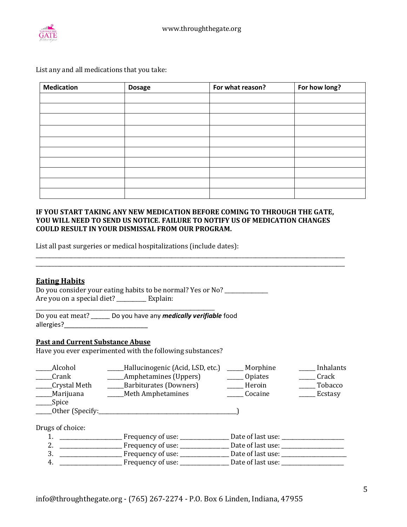

List any and all medications that you take:

| <b>Medication</b> | <b>Dosage</b> | For what reason? | For how long? |
|-------------------|---------------|------------------|---------------|
|                   |               |                  |               |
|                   |               |                  |               |
|                   |               |                  |               |
|                   |               |                  |               |
|                   |               |                  |               |
|                   |               |                  |               |
|                   |               |                  |               |
|                   |               |                  |               |
|                   |               |                  |               |
|                   |               |                  |               |

## **IF YOU START TAKING ANY NEW MEDICATION BEFORE COMING TO THROUGH THE GATE, YOU WILL NEED TO SEND US NOTICE. FAILURE TO NOTIFY US OF MEDICATION CHANGES COULD RESULT IN YOUR DISMISSAL FROM OUR PROGRAM.**

\_\_\_\_\_\_\_\_\_\_\_\_\_\_\_\_\_\_\_\_\_\_\_\_\_\_\_\_\_\_\_\_\_\_\_\_\_\_\_\_\_\_\_\_\_\_\_\_\_\_\_\_\_\_\_\_\_\_\_\_\_\_\_\_\_\_\_\_\_\_\_\_\_\_\_\_\_\_\_\_\_\_\_\_\_\_\_\_\_\_\_\_\_\_\_\_\_\_\_\_\_\_\_\_\_\_\_\_\_\_\_\_\_\_

\_\_\_\_\_\_\_\_\_\_\_\_\_\_\_\_\_\_\_\_\_\_\_\_\_\_\_\_\_\_\_\_\_\_\_\_\_\_\_\_\_\_\_\_\_\_\_\_\_\_\_\_\_\_\_\_\_\_\_\_\_\_\_\_\_\_\_\_\_\_\_\_\_\_\_\_\_\_\_\_\_\_\_\_\_\_\_\_\_\_\_\_\_\_\_\_\_\_\_\_\_\_\_\_\_\_\_\_\_\_\_\_\_\_

List all past surgeries or medical hospitalizations (include dates):

## **Eating Habits**

Do you consider your eating habits to be normal? Yes or No? \_\_\_\_\_\_\_\_\_\_\_\_\_\_\_\_\_\_\_\_ Are you on a special diet? \_\_\_\_\_\_\_\_\_\_ Explain:

Do you eat meat? \_\_\_\_\_\_\_ Do you have any *medically verifiable* food allergies?\_\_\_\_\_\_\_\_\_\_\_\_\_\_\_\_\_\_\_\_\_\_\_

## **Past and Current Substance Abuse**

Have you ever experimented with the following substances?

\_\_\_\_\_\_\_\_\_\_\_\_\_\_\_\_\_\_\_\_\_\_\_\_\_\_\_\_\_\_\_\_\_\_\_\_\_\_\_\_\_\_\_\_\_\_\_\_\_\_\_\_\_\_\_\_\_\_\_\_\_\_\_\_\_\_

| Alcohol<br>Crank<br>Crystal Meth | Hallucinogenic (Acid, LSD, etc.)<br>Amphetamines (Uppers)<br>Barbiturates (Downers) | Morphine<br><b>Opiates</b><br>Heroin | Inhalants<br>Crack<br>Tobacco |
|----------------------------------|-------------------------------------------------------------------------------------|--------------------------------------|-------------------------------|
| Marijuana                        | Meth Amphetamines                                                                   | Cocaine                              | _ Ecstasy                     |
| Spice                            |                                                                                     |                                      |                               |
| Other (Specify:                  |                                                                                     |                                      |                               |
|                                  |                                                                                     |                                      |                               |
| Drugs of choice:                 |                                                                                     |                                      |                               |
|                                  | Frequency of use:                                                                   | Date of last use: __                 |                               |
| 2.                               | Frequency of use: _____                                                             | Date of last use:                    |                               |
| 3.                               | Frequency of use:                                                                   | Date of last use:                    |                               |
| 4.                               | Frequency of use:                                                                   | Date of last use:                    |                               |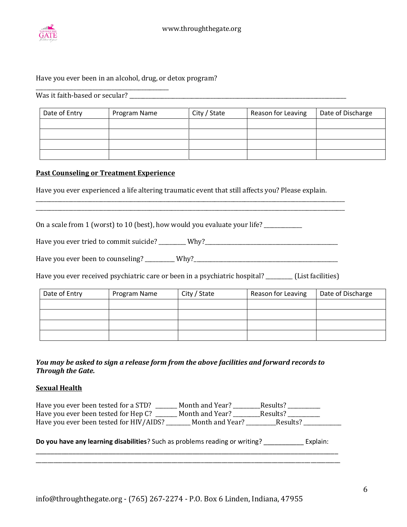

## Have you ever been in an alcohol, drug, or detox program?

Was it faith-based or secular? \_\_\_\_\_\_\_\_\_\_\_\_\_\_\_\_\_\_\_\_\_\_\_\_\_\_\_\_\_\_\_\_\_\_\_\_\_\_\_\_\_\_\_\_\_\_\_\_\_\_\_\_\_\_\_\_\_\_\_\_\_\_\_\_\_\_\_\_\_\_\_\_\_\_\_\_\_\_\_\_

\_\_\_\_\_\_\_\_\_\_\_\_\_\_\_\_\_\_\_\_\_\_\_\_\_\_\_\_\_\_\_\_\_\_\_\_\_\_\_\_\_\_\_\_\_\_\_\_\_

| Date of Entry | Program Name | City / State | Reason for Leaving | Date of Discharge |
|---------------|--------------|--------------|--------------------|-------------------|
|               |              |              |                    |                   |
|               |              |              |                    |                   |
|               |              |              |                    |                   |
|               |              |              |                    |                   |

#### **Past Counseling or Treatment Experience**

Have you ever experienced a life altering traumatic event that still affects you? Please explain.

\_\_\_\_\_\_\_\_\_\_\_\_\_\_\_\_\_\_\_\_\_\_\_\_\_\_\_\_\_\_\_\_\_\_\_\_\_\_\_\_\_\_\_\_\_\_\_\_\_\_\_\_\_\_\_\_\_\_\_\_\_\_\_\_\_\_\_\_\_\_\_\_\_\_\_\_\_\_\_\_\_\_\_\_\_\_\_\_\_\_\_\_\_\_\_\_\_\_\_\_\_\_\_\_\_\_\_\_\_\_\_\_\_\_ \_\_\_\_\_\_\_\_\_\_\_\_\_\_\_\_\_\_\_\_\_\_\_\_\_\_\_\_\_\_\_\_\_\_\_\_\_\_\_\_\_\_\_\_\_\_\_\_\_\_\_\_\_\_\_\_\_\_\_\_\_\_\_\_\_\_\_\_\_\_\_\_\_\_\_\_\_\_\_\_\_\_\_\_\_\_\_\_\_\_\_\_\_\_\_\_\_\_\_\_\_\_\_\_\_\_\_\_\_\_\_\_\_\_

On a scale from 1 (worst) to 10 (best), how would you evaluate your life? \_\_\_\_\_\_\_\_\_\_\_\_

Have you ever tried to commit suicide? \_\_\_\_\_\_\_\_ Why? \_\_\_\_\_\_\_\_\_\_\_\_\_\_\_\_\_\_\_\_\_\_\_\_\_\_\_\_

Have you ever been to counseling? \_\_\_\_\_\_\_\_\_ Why?\_\_\_\_\_\_\_\_\_\_\_\_\_\_\_\_\_\_\_\_\_\_\_\_\_\_\_\_\_\_\_\_\_

Have you ever received psychiatric care or been in a psychiatric hospital? \_\_\_\_\_\_\_\_ (List facilities)

| Date of Entry | Program Name | City / State | Reason for Leaving | Date of Discharge |
|---------------|--------------|--------------|--------------------|-------------------|
|               |              |              |                    |                   |
|               |              |              |                    |                   |
|               |              |              |                    |                   |
|               |              |              |                    |                   |

## *You may be asked to sign a release form from the above facilities and forward records to Through the Gate.*

#### **Sexual Health**

| Have you ever been tested for a STD?    | Month and Year? | Results? |  |
|-----------------------------------------|-----------------|----------|--|
| Have you ever been tested for Hep C?    | Month and Year? | Results? |  |
| Have you ever been tested for HIV/AIDS? | Month and Year? | Results? |  |

## **Do you have any learning disabilities**? Such as problems reading or writing? \_\_\_\_\_\_\_\_\_\_\_ Explain: \_\_\_\_\_\_\_\_\_\_\_\_\_\_\_\_\_\_\_\_\_\_\_\_\_\_\_\_\_\_\_\_\_\_\_\_\_\_\_\_\_\_\_\_\_\_\_\_\_\_\_\_\_\_\_\_\_\_\_\_\_\_\_\_\_\_\_\_\_\_\_\_\_\_\_\_\_\_\_\_\_\_\_

\_\_\_\_\_\_\_\_\_\_\_\_\_\_\_\_\_\_\_\_\_\_\_\_\_\_\_\_\_\_\_\_\_\_\_\_\_\_\_\_\_\_\_\_\_\_\_\_\_\_\_\_\_\_\_\_\_\_\_\_\_\_\_\_\_\_\_\_\_\_\_\_\_\_\_\_\_\_\_\_\_\_\_\_\_\_\_\_\_\_\_\_\_\_\_\_\_\_\_\_\_\_\_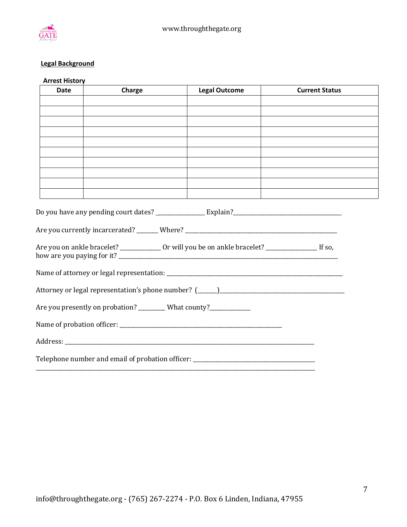

## **Legal Background**

| <b>Date</b> | Charge                                                             | <b>Legal Outcome</b>                                                                                        | <b>Current Status</b> |
|-------------|--------------------------------------------------------------------|-------------------------------------------------------------------------------------------------------------|-----------------------|
|             |                                                                    |                                                                                                             |                       |
|             |                                                                    |                                                                                                             |                       |
|             |                                                                    |                                                                                                             |                       |
|             |                                                                    |                                                                                                             |                       |
|             |                                                                    |                                                                                                             |                       |
|             |                                                                    |                                                                                                             |                       |
|             |                                                                    |                                                                                                             |                       |
|             |                                                                    |                                                                                                             |                       |
|             |                                                                    | Do you have any pending court dates? _______________________Explain?________________________________        |                       |
|             |                                                                    | Are you on ankle bracelet? ________________ Or will you be on ankle bracelet? ______________________ If so, |                       |
|             |                                                                    |                                                                                                             |                       |
|             |                                                                    |                                                                                                             |                       |
|             | Are you presently on probation? _________ What county?____________ |                                                                                                             |                       |
|             |                                                                    |                                                                                                             |                       |
|             |                                                                    |                                                                                                             |                       |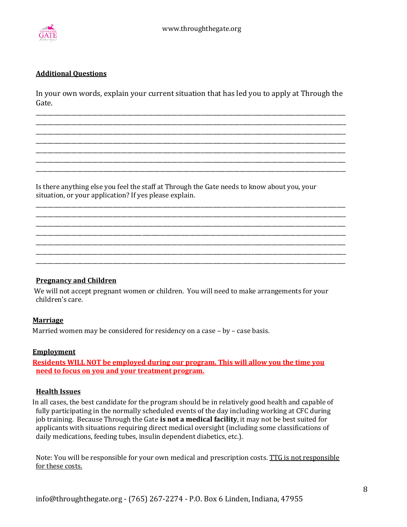

## **Additional Questions**

In your own words, explain your current situation that has led you to apply at Through the Gate.

\_\_\_\_\_\_\_\_\_\_\_\_\_\_\_\_\_\_\_\_\_\_\_\_\_\_\_\_\_\_\_\_\_\_\_\_\_\_\_\_\_\_\_\_\_\_\_\_\_\_\_\_\_\_\_\_\_\_\_\_\_\_\_\_\_\_\_\_\_\_\_\_\_\_\_\_\_\_\_\_\_\_\_\_\_\_\_\_\_\_\_\_\_\_\_\_\_\_\_\_\_\_\_\_\_ \_\_\_\_\_\_\_\_\_\_\_\_\_\_\_\_\_\_\_\_\_\_\_\_\_\_\_\_\_\_\_\_\_\_\_\_\_\_\_\_\_\_\_\_\_\_\_\_\_\_\_\_\_\_\_\_\_\_\_\_\_\_\_\_\_\_\_\_\_\_\_\_\_\_\_\_\_\_\_\_\_\_\_\_\_\_\_\_\_\_\_\_\_\_\_\_\_\_\_\_\_\_\_\_\_ \_\_\_\_\_\_\_\_\_\_\_\_\_\_\_\_\_\_\_\_\_\_\_\_\_\_\_\_\_\_\_\_\_\_\_\_\_\_\_\_\_\_\_\_\_\_\_\_\_\_\_\_\_\_\_\_\_\_\_\_\_\_\_\_\_\_\_\_\_\_\_\_\_\_\_\_\_\_\_\_\_\_\_\_\_\_\_\_\_\_\_\_\_\_\_\_\_\_\_\_\_\_\_\_\_ \_\_\_\_\_\_\_\_\_\_\_\_\_\_\_\_\_\_\_\_\_\_\_\_\_\_\_\_\_\_\_\_\_\_\_\_\_\_\_\_\_\_\_\_\_\_\_\_\_\_\_\_\_\_\_\_\_\_\_\_\_\_\_\_\_\_\_\_\_\_\_\_\_\_\_\_\_\_\_\_\_\_\_\_\_\_\_\_\_\_\_\_\_\_\_\_\_\_\_\_\_\_\_\_\_ \_\_\_\_\_\_\_\_\_\_\_\_\_\_\_\_\_\_\_\_\_\_\_\_\_\_\_\_\_\_\_\_\_\_\_\_\_\_\_\_\_\_\_\_\_\_\_\_\_\_\_\_\_\_\_\_\_\_\_\_\_\_\_\_\_\_\_\_\_\_\_\_\_\_\_\_\_\_\_\_\_\_\_\_\_\_\_\_\_\_\_\_\_\_\_\_\_\_\_\_\_\_\_\_\_ \_\_\_\_\_\_\_\_\_\_\_\_\_\_\_\_\_\_\_\_\_\_\_\_\_\_\_\_\_\_\_\_\_\_\_\_\_\_\_\_\_\_\_\_\_\_\_\_\_\_\_\_\_\_\_\_\_\_\_\_\_\_\_\_\_\_\_\_\_\_\_\_\_\_\_\_\_\_\_\_\_\_\_\_\_\_\_\_\_\_\_\_\_\_\_\_\_\_\_\_\_\_\_\_\_ \_\_\_\_\_\_\_\_\_\_\_\_\_\_\_\_\_\_\_\_\_\_\_\_\_\_\_\_\_\_\_\_\_\_\_\_\_\_\_\_\_\_\_\_\_\_\_\_\_\_\_\_\_\_\_\_\_\_\_\_\_\_\_\_\_\_\_\_\_\_\_\_\_\_\_\_\_\_\_\_\_\_\_\_\_\_\_\_\_\_\_\_\_\_\_\_\_\_\_\_\_\_\_\_\_

Is there anything else you feel the staff at Through the Gate needs to know about you, your situation, or your application? If yes please explain.

\_\_\_\_\_\_\_\_\_\_\_\_\_\_\_\_\_\_\_\_\_\_\_\_\_\_\_\_\_\_\_\_\_\_\_\_\_\_\_\_\_\_\_\_\_\_\_\_\_\_\_\_\_\_\_\_\_\_\_\_\_\_\_\_\_\_\_\_\_\_\_\_\_\_\_\_\_\_\_\_\_\_\_\_\_\_\_\_\_\_\_\_\_\_\_\_\_\_\_\_\_\_\_\_\_ \_\_\_\_\_\_\_\_\_\_\_\_\_\_\_\_\_\_\_\_\_\_\_\_\_\_\_\_\_\_\_\_\_\_\_\_\_\_\_\_\_\_\_\_\_\_\_\_\_\_\_\_\_\_\_\_\_\_\_\_\_\_\_\_\_\_\_\_\_\_\_\_\_\_\_\_\_\_\_\_\_\_\_\_\_\_\_\_\_\_\_\_\_\_\_\_\_\_\_\_\_\_\_\_\_ \_\_\_\_\_\_\_\_\_\_\_\_\_\_\_\_\_\_\_\_\_\_\_\_\_\_\_\_\_\_\_\_\_\_\_\_\_\_\_\_\_\_\_\_\_\_\_\_\_\_\_\_\_\_\_\_\_\_\_\_\_\_\_\_\_\_\_\_\_\_\_\_\_\_\_\_\_\_\_\_\_\_\_\_\_\_\_\_\_\_\_\_\_\_\_\_\_\_\_\_\_\_\_\_\_ \_\_\_\_\_\_\_\_\_\_\_\_\_\_\_\_\_\_\_\_\_\_\_\_\_\_\_\_\_\_\_\_\_\_\_\_\_\_\_\_\_\_\_\_\_\_\_\_\_\_\_\_\_\_\_\_\_\_\_\_\_\_\_\_\_\_\_\_\_\_\_\_\_\_\_\_\_\_\_\_\_\_\_\_\_\_\_\_\_\_\_\_\_\_\_\_\_\_\_\_\_\_\_\_\_ \_\_\_\_\_\_\_\_\_\_\_\_\_\_\_\_\_\_\_\_\_\_\_\_\_\_\_\_\_\_\_\_\_\_\_\_\_\_\_\_\_\_\_\_\_\_\_\_\_\_\_\_\_\_\_\_\_\_\_\_\_\_\_\_\_\_\_\_\_\_\_\_\_\_\_\_\_\_\_\_\_\_\_\_\_\_\_\_\_\_\_\_\_\_\_\_\_\_\_\_\_\_\_\_\_ \_\_\_\_\_\_\_\_\_\_\_\_\_\_\_\_\_\_\_\_\_\_\_\_\_\_\_\_\_\_\_\_\_\_\_\_\_\_\_\_\_\_\_\_\_\_\_\_\_\_\_\_\_\_\_\_\_\_\_\_\_\_\_\_\_\_\_\_\_\_\_\_\_\_\_\_\_\_\_\_\_\_\_\_\_\_\_\_\_\_\_\_\_\_\_\_\_\_\_\_\_\_\_\_\_ \_\_\_\_\_\_\_\_\_\_\_\_\_\_\_\_\_\_\_\_\_\_\_\_\_\_\_\_\_\_\_\_\_\_\_\_\_\_\_\_\_\_\_\_\_\_\_\_\_\_\_\_\_\_\_\_\_\_\_\_\_\_\_\_\_\_\_\_\_\_\_\_\_\_\_\_\_\_\_\_\_\_\_\_\_\_\_\_\_\_\_\_\_\_\_\_\_\_\_\_\_\_\_\_\_

#### **Pregnancy and Children**

We will not accept pregnant women or children. You will need to make arrangements for your children's care.

## **Marriage**

Married women may be considered for residency on a case – by – case basis.

## **Employment**

**Residents WILL NOT be employed during our program. This will allow you the time you need to focus on you and your treatment program.**

#### **Health Issues**

In all cases, the best candidate for the program should be in relatively good health and capable of fully participating in the normally scheduled events of the day including working at CFC during job training. Because Through the Gate **is not a medical facility**, it may not be best suited for applicants with situations requiring direct medical oversight (including some classifications of daily medications, feeding tubes, insulin dependent diabetics, etc.).

Note: You will be responsible for your own medical and prescription costs. TTG is not responsible for these costs.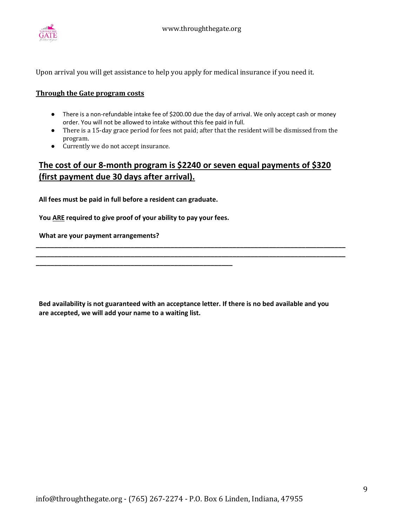

Upon arrival you will get assistance to help you apply for medical insurance if you need it.

#### **Through the Gate program costs**

- There is a non-refundable intake fee of \$200.00 due the day of arrival. We only accept cash or money order. You will not be allowed to intake without this fee paid in full.
- There is a 15-day grace period for fees not paid; after that the resident will be dismissed from the program.
- Currently we do not accept insurance.

# **The cost of our 8-month program is \$2240 or seven equal payments of \$320 (first payment due 30 days after arrival).**

**All fees must be paid in full before a resident can graduate.**

 **You ARE required to give proof of your ability to pay your fees.**

**\_\_\_\_\_\_\_\_\_\_\_\_\_\_\_\_\_\_\_\_\_\_\_\_\_\_\_\_\_\_\_\_\_\_\_\_\_\_\_\_\_\_\_\_\_\_\_\_\_\_\_\_\_\_**

 **What are your payment arrangements?** 

**Bed availability is not guaranteed with an acceptance letter. If there is no bed available and you are accepted, we will add your name to a waiting list.** 

**\_\_\_\_\_\_\_\_\_\_\_\_\_\_\_\_\_\_\_\_\_\_\_\_\_\_\_\_\_\_\_\_\_\_\_\_\_\_\_\_\_\_\_\_\_\_\_\_\_\_\_\_\_\_\_\_\_\_\_\_\_\_\_\_\_\_\_\_\_\_\_\_\_\_\_\_\_\_\_\_\_\_\_\_\_ \_\_\_\_\_\_\_\_\_\_\_\_\_\_\_\_\_\_\_\_\_\_\_\_\_\_\_\_\_\_\_\_\_\_\_\_\_\_\_\_\_\_\_\_\_\_\_\_\_\_\_\_\_\_\_\_\_\_\_\_\_\_\_\_\_\_\_\_\_\_\_\_\_\_\_\_\_\_\_\_\_\_\_\_\_**